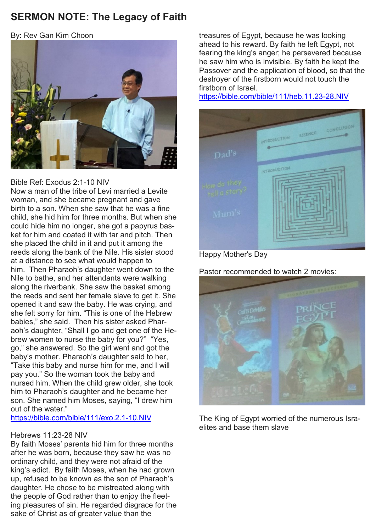# **SERMON NOTE: The Legacy of Faith**

By: Rev Gan Kim Choon



#### Bible Ref: Exodus 2:1-10 NIV

Now a man of the tribe of Levi married a Levite woman, and she became pregnant and gave birth to a son. When she saw that he was a fine child, she hid him for three months. But when she could hide him no longer, she got a papyrus basket for him and coated it with tar and pitch. Then she placed the child in it and put it among the reeds along the bank of the Nile. His sister stood at a distance to see what would happen to him. Then Pharaoh's daughter went down to the Nile to bathe, and her attendants were walking along the riverbank. She saw the basket among the reeds and sent her female slave to get it. She opened it and saw the baby. He was crying, and she felt sorry for him. "This is one of the Hebrew babies," she said. Then his sister asked Pharaoh's daughter, "Shall I go and get one of the Hebrew women to nurse the baby for you?" "Yes, go," she answered. So the girl went and got the baby's mother. Pharaoh's daughter said to her, "Take this baby and nurse him for me, and I will pay you." So the woman took the baby and nursed him. When the child grew older, she took him to Pharaoh's daughter and he became her son. She named him Moses, saying, "I drew him out of the water."

<https://bible.com/bible/111/exo.2.1-10.NIV>

# Hebrews 11:23-28 NIV

By faith Moses' parents hid him for three months after he was born, because they saw he was no ordinary child, and they were not afraid of the king's edict. By faith Moses, when he had grown up, refused to be known as the son of Pharaoh's daughter. He chose to be mistreated along with the people of God rather than to enjoy the fleeting pleasures of sin. He regarded disgrace for the sake of Christ as of greater value than the

treasures of Egypt, because he was looking ahead to his reward. By faith he left Egypt, not fearing the king's anger; he persevered because he saw him who is invisible. By faith he kept the Passover and the application of blood, so that the destroyer of the firstborn would not touch the firstborn of Israel.

<https://bible.com/bible/111/heb.11.23-28.NIV>



# Happy Mother's Day

Pastor recommended to watch 2 movies:



The King of Egypt worried of the numerous Israelites and base them slave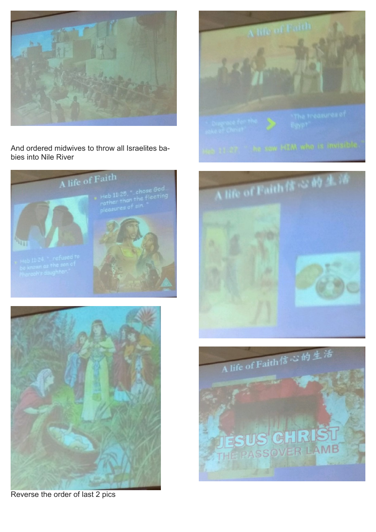

And ordered midwives to throw all Israelites babies into Nile River





Reverse the order of last 2 pics





**JESUS CHRIST**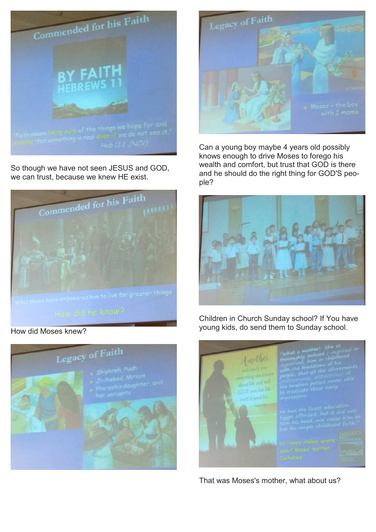

So though we have not seen JESUS and GOD, we can trust, because we knew HE exist.



Legacy of Faith



Can a young boy maybe 4 years old possibly knows enough to drive Moses to forego his wealth and comfort, but trust that GOD is there and he should do the right thing for GOD'S people?



Children in Church Sunday school? If You have young kids, do send them to Sunday school.



That was Moses's mother, what about us?